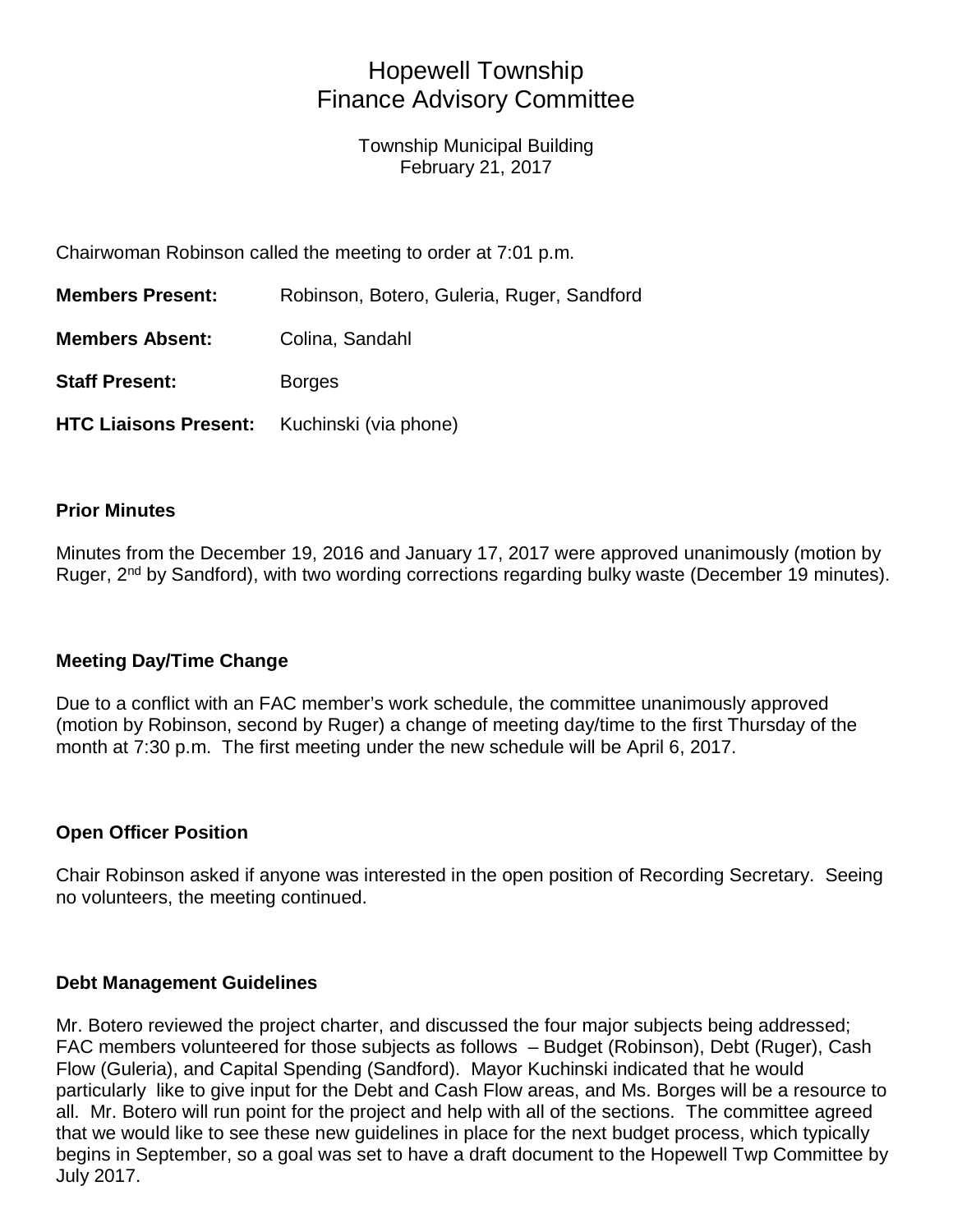# Hopewell Township Finance Advisory Committee

Township Municipal Building February 21, 2017

Chairwoman Robinson called the meeting to order at 7:01 p.m.

| <b>Members Present:</b>                            | Robinson, Botero, Guleria, Ruger, Sandford |
|----------------------------------------------------|--------------------------------------------|
| <b>Members Absent:</b>                             | Colina, Sandahl                            |
| <b>Staff Present:</b>                              | <b>Borges</b>                              |
| <b>HTC Liaisons Present:</b> Kuchinski (via phone) |                                            |

## **Prior Minutes**

Minutes from the December 19, 2016 and January 17, 2017 were approved unanimously (motion by Ruger. 2<sup>nd</sup> by Sandford), with two wording corrections regarding bulky waste (December 19 minutes).

# **Meeting Day/Time Change**

Due to a conflict with an FAC member's work schedule, the committee unanimously approved (motion by Robinson, second by Ruger) a change of meeting day/time to the first Thursday of the month at 7:30 p.m. The first meeting under the new schedule will be April 6, 2017.

# **Open Officer Position**

Chair Robinson asked if anyone was interested in the open position of Recording Secretary. Seeing no volunteers, the meeting continued.

#### **Debt Management Guidelines**

Mr. Botero reviewed the project charter, and discussed the four major subjects being addressed; FAC members volunteered for those subjects as follows – Budget (Robinson), Debt (Ruger), Cash Flow (Guleria), and Capital Spending (Sandford). Mayor Kuchinski indicated that he would particularly like to give input for the Debt and Cash Flow areas, and Ms. Borges will be a resource to all. Mr. Botero will run point for the project and help with all of the sections. The committee agreed that we would like to see these new guidelines in place for the next budget process, which typically begins in September, so a goal was set to have a draft document to the Hopewell Twp Committee by July 2017.